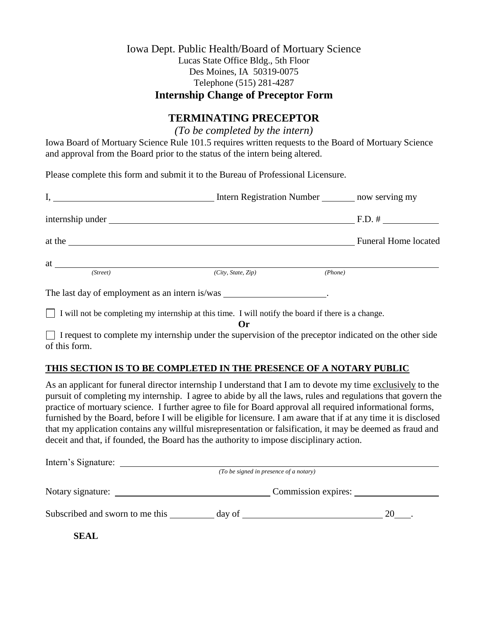## Iowa Dept. Public Health/Board of Mortuary Science Lucas State Office Bldg., 5th Floor Des Moines, IA 50319-0075 Telephone (515) 281-4287 **Internship Change of Preceptor Form**

## **TERMINATING PRECEPTOR**

*(To be completed by the intern)*

Iowa Board of Mortuary Science Rule 101.5 requires written requests to the Board of Mortuary Science and approval from the Board prior to the status of the intern being altered.

Please complete this form and submit it to the Bureau of Professional Licensure.

| $\mathbf{I}, \ \mathbf{I}$                                                                         | Intern Registration Number ________ now serving my |         |                                                                 |
|----------------------------------------------------------------------------------------------------|----------------------------------------------------|---------|-----------------------------------------------------------------|
|                                                                                                    |                                                    |         | $F.D. # \_\_\_\_\_\_\_\_\_\_\_\_\_\_\_\_\_\_\_\_\_\_\_\_\_\_\_$ |
| at the                                                                                             |                                                    |         | <b>Funeral Home located</b>                                     |
| (Street)                                                                                           | (City, State, Zip)                                 | (Phone) |                                                                 |
| The last day of employment as an intern is/was __________________________________                  |                                                    |         |                                                                 |
| I will not be completing my internship at this time. I will notify the board if there is a change. |                                                    |         |                                                                 |

**Or**

 $\Box$  I request to complete my internship under the supervision of the preceptor indicated on the other side of this form.

## **THIS SECTION IS TO BE COMPLETED IN THE PRESENCE OF A NOTARY PUBLIC**

As an applicant for funeral director internship I understand that I am to devote my time exclusively to the pursuit of completing my internship. I agree to abide by all the laws, rules and regulations that govern the practice of mortuary science. I further agree to file for Board approval all required informational forms, furnished by the Board, before I will be eligible for licensure. I am aware that if at any time it is disclosed that my application contains any willful misrepresentation or falsification, it may be deemed as fraud and deceit and that, if founded, the Board has the authority to impose disciplinary action.

| Intern's Signature:             |                                        |                     |
|---------------------------------|----------------------------------------|---------------------|
|                                 | (To be signed in presence of a notary) |                     |
| Notary signature:               |                                        | Commission expires: |
| Subscribed and sworn to me this | day of                                 | 20                  |
| <b>SEAL</b>                     |                                        |                     |